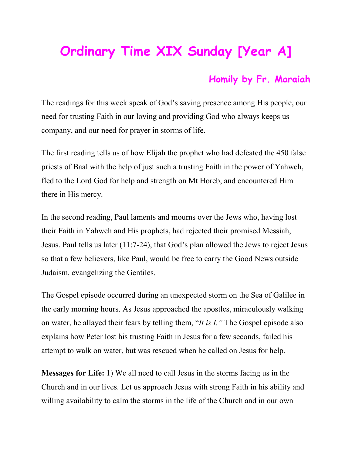## **Ordinary Time XIX Sunday [Year A]**

## **Homily by Fr. Maraiah**

The readings for this week speak of God's saving presence among His people, our need for trusting Faith in our loving and providing God who always keeps us company, and our need for prayer in storms of life.

The first reading tells us of how Elijah the prophet who had defeated the 450 false priests of Baal with the help of just such a trusting Faith in the power of Yahweh, fled to the Lord God for help and strength on Mt Horeb, and encountered Him there in His mercy.

In the second reading, Paul laments and mourns over the Jews who, having lost their Faith in Yahweh and His prophets, had rejected their promised Messiah, Jesus. Paul tells us later (11:7-24), that God's plan allowed the Jews to reject Jesus so that a few believers, like Paul, would be free to carry the Good News outside Judaism, evangelizing the Gentiles.

The Gospel episode occurred during an unexpected storm on the Sea of Galilee in the early morning hours. As Jesus approached the apostles, miraculously walking on water, he allayed their fears by telling them, "*It is I."* The Gospel episode also explains how Peter lost his trusting Faith in Jesus for a few seconds, failed his attempt to walk on water, but was rescued when he called on Jesus for help.

**Messages for Life:** 1) We all need to call Jesus in the storms facing us in the Church and in our lives. Let us approach Jesus with strong Faith in his ability and willing availability to calm the storms in the life of the Church and in our own